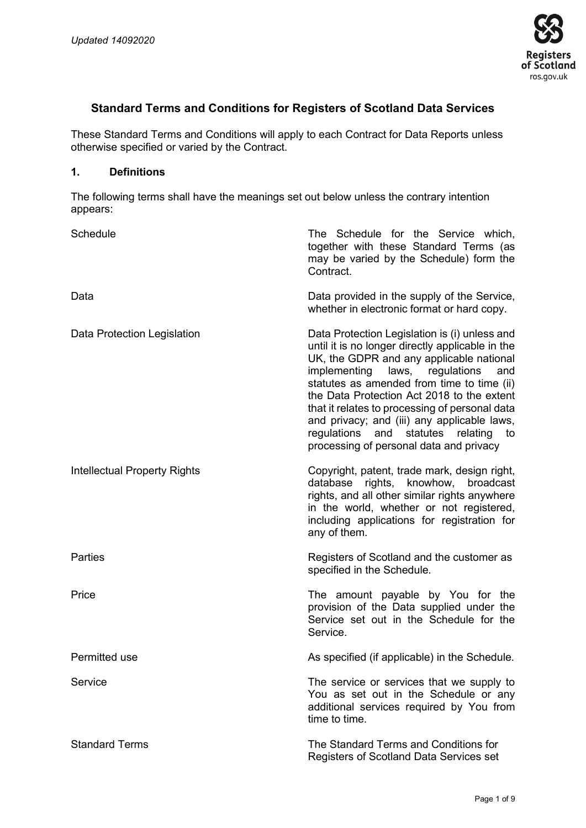

# **Standard Terms and Conditions for Registers of Scotland Data Services**

These Standard Terms and Conditions will apply to each Contract for Data Reports unless otherwise specified or varied by the Contract.

#### **1. Definitions**

The following terms shall have the meanings set out below unless the contrary intention appears:

| Schedule                            | The Schedule for the Service which,<br>together with these Standard Terms (as<br>may be varied by the Schedule) form the<br>Contract.                                                                                                                                                                                                                                                                                                                                              |
|-------------------------------------|------------------------------------------------------------------------------------------------------------------------------------------------------------------------------------------------------------------------------------------------------------------------------------------------------------------------------------------------------------------------------------------------------------------------------------------------------------------------------------|
| Data                                | Data provided in the supply of the Service,<br>whether in electronic format or hard copy.                                                                                                                                                                                                                                                                                                                                                                                          |
| Data Protection Legislation         | Data Protection Legislation is (i) unless and<br>until it is no longer directly applicable in the<br>UK, the GDPR and any applicable national<br>implementing<br>laws,<br>regulations<br>and<br>statutes as amended from time to time (ii)<br>the Data Protection Act 2018 to the extent<br>that it relates to processing of personal data<br>and privacy; and (iii) any applicable laws,<br>regulations<br>and statutes relating<br>to<br>processing of personal data and privacy |
| <b>Intellectual Property Rights</b> | Copyright, patent, trade mark, design right,<br>rights, knowhow, broadcast<br>database<br>rights, and all other similar rights anywhere<br>in the world, whether or not registered,<br>including applications for registration for<br>any of them.                                                                                                                                                                                                                                 |
| Parties                             | Registers of Scotland and the customer as<br>specified in the Schedule.                                                                                                                                                                                                                                                                                                                                                                                                            |
| Price                               | The amount payable by You for the<br>provision of the Data supplied under the<br>Service set out in the Schedule for the<br>Service.                                                                                                                                                                                                                                                                                                                                               |
| Permitted use                       | As specified (if applicable) in the Schedule.                                                                                                                                                                                                                                                                                                                                                                                                                                      |
| Service                             | The service or services that we supply to<br>You as set out in the Schedule or any<br>additional services required by You from<br>time to time.                                                                                                                                                                                                                                                                                                                                    |
| <b>Standard Terms</b>               | The Standard Terms and Conditions for<br>Registers of Scotland Data Services set                                                                                                                                                                                                                                                                                                                                                                                                   |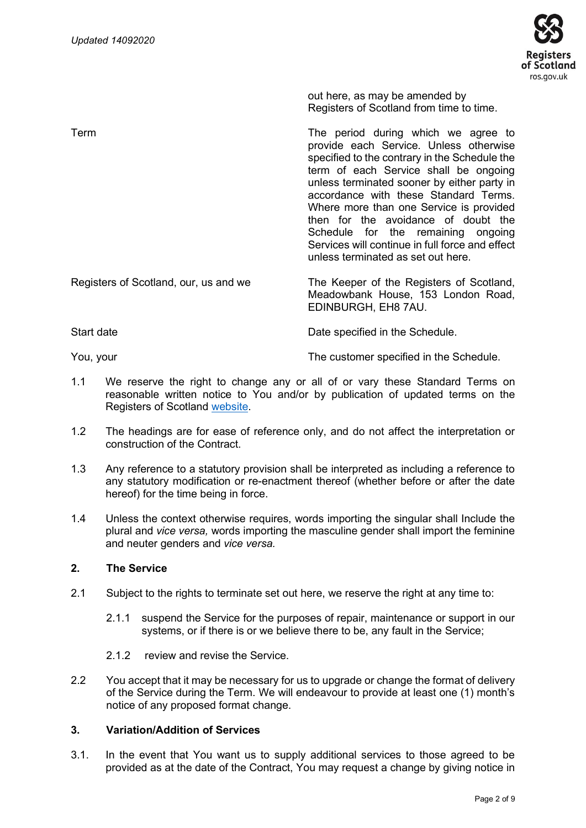

out here, as may be amended by Registers of Scotland from time to time.

Term The period during which we agree to provide each Service. Unless otherwise specified to the contrary in the Schedule the term of each Service shall be ongoing unless terminated sooner by either party in accordance with these Standard Terms. Where more than one Service is provided then for the avoidance of doubt the Schedule for the remaining ongoing Services will continue in full force and effect unless terminated as set out here. Registers of Scotland, our, us and we The Keeper of the Registers of Scotland, Meadowbank House, 153 London Road, EDINBURGH, EH8 7AU.

Start date Date specified in the Schedule.

You, your The customer specified in the Schedule.

- 1.1 We reserve the right to change any or all of or vary these Standard Terms on reasonable written notice to You and/or by publication of updated terms on the Registers of Scotland [website.](https://www.ros.gov.uk/__data/assets/pdf_file/0008/39473/RoS-Data-Services-Standard-Terms-and-Conditions.pdf)
- 1.2 The headings are for ease of reference only, and do not affect the interpretation or construction of the Contract.
- 1.3 Any reference to a statutory provision shall be interpreted as including a reference to any statutory modification or re-enactment thereof (whether before or after the date hereof) for the time being in force.
- 1.4 Unless the context otherwise requires, words importing the singular shall Include the plural and *vice versa,* words importing the masculine gender shall import the feminine and neuter genders and *vice versa.*

# **2. The Service**

- 2.1 Subject to the rights to terminate set out here, we reserve the right at any time to:
	- 2.1.1 suspend the Service for the purposes of repair, maintenance or support in our systems, or if there is or we believe there to be, any fault in the Service;
	- 2.1.2 review and revise the Service.
- 2.2 You accept that it may be necessary for us to upgrade or change the format of delivery of the Service during the Term. We will endeavour to provide at least one (1) month's notice of any proposed format change.

## **3. Variation/Addition of Services**

3.1. In the event that You want us to supply additional services to those agreed to be provided as at the date of the Contract, You may request a change by giving notice in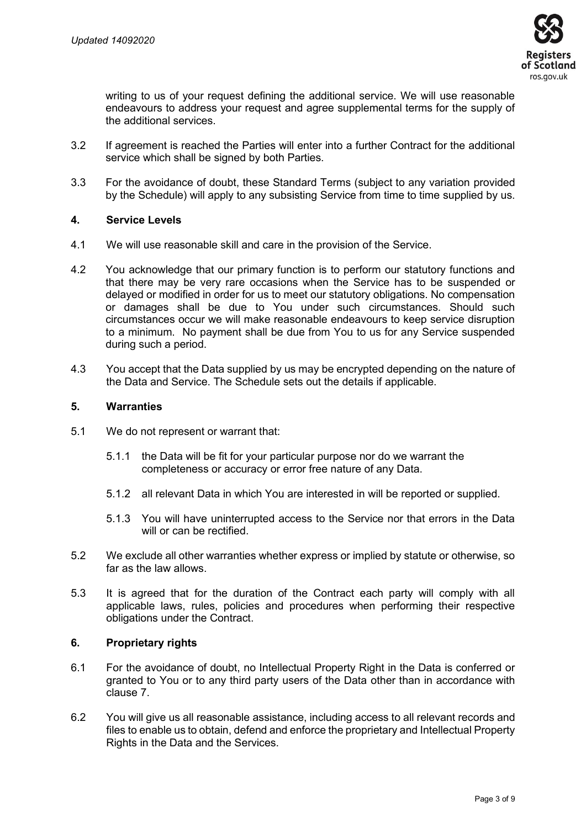

writing to us of your request defining the additional service. We will use reasonable endeavours to address your request and agree supplemental terms for the supply of the additional services.

- 3.2 If agreement is reached the Parties will enter into a further Contract for the additional service which shall be signed by both Parties.
- 3.3 For the avoidance of doubt, these Standard Terms (subject to any variation provided by the Schedule) will apply to any subsisting Service from time to time supplied by us.

## **4. Service Levels**

- 4.1 We will use reasonable skill and care in the provision of the Service.
- 4.2 You acknowledge that our primary function is to perform our statutory functions and that there may be very rare occasions when the Service has to be suspended or delayed or modified in order for us to meet our statutory obligations. No compensation or damages shall be due to You under such circumstances. Should such circumstances occur we will make reasonable endeavours to keep service disruption to a minimum. No payment shall be due from You to us for any Service suspended during such a period.
- 4.3 You accept that the Data supplied by us may be encrypted depending on the nature of the Data and Service. The Schedule sets out the details if applicable.

#### **5. Warranties**

- 5.1 We do not represent or warrant that:
	- 5.1.1 the Data will be fit for your particular purpose nor do we warrant the completeness or accuracy or error free nature of any Data.
	- 5.1.2 all relevant Data in which You are interested in will be reported or supplied.
	- 5.1.3 You will have uninterrupted access to the Service nor that errors in the Data will or can be rectified.
- 5.2 We exclude all other warranties whether express or implied by statute or otherwise, so far as the law allows.
- 5.3 It is agreed that for the duration of the Contract each party will comply with all applicable laws, rules, policies and procedures when performing their respective obligations under the Contract.

## **6. Proprietary rights**

- 6.1 For the avoidance of doubt, no Intellectual Property Right in the Data is conferred or granted to You or to any third party users of the Data other than in accordance with clause 7.
- 6.2 You will give us all reasonable assistance, including access to all relevant records and files to enable us to obtain, defend and enforce the proprietary and Intellectual Property Rights in the Data and the Services.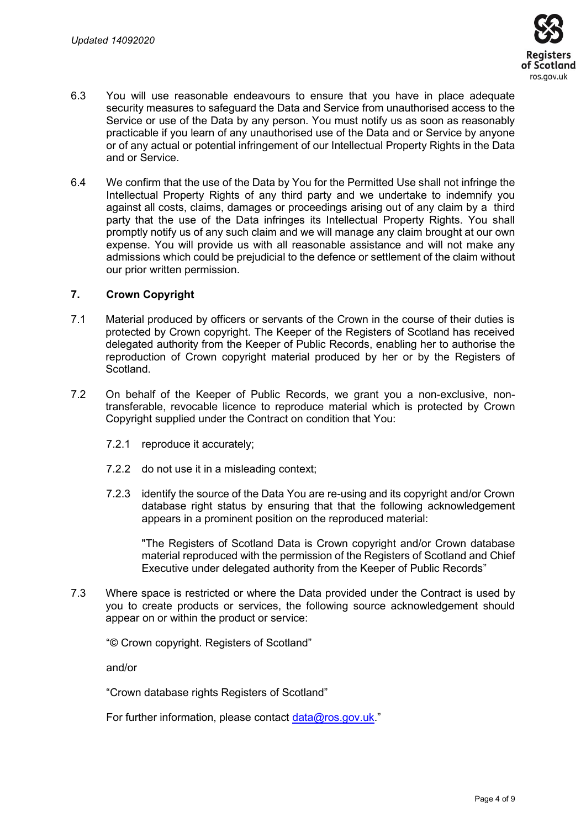

- 6.3 You will use reasonable endeavours to ensure that you have in place adequate security measures to safeguard the Data and Service from unauthorised access to the Service or use of the Data by any person. You must notify us as soon as reasonably practicable if you learn of any unauthorised use of the Data and or Service by anyone or of any actual or potential infringement of our Intellectual Property Rights in the Data and or Service.
- 6.4 We confirm that the use of the Data by You for the Permitted Use shall not infringe the Intellectual Property Rights of any third party and we undertake to indemnify you against all costs, claims, damages or proceedings arising out of any claim by a third party that the use of the Data infringes its Intellectual Property Rights. You shall promptly notify us of any such claim and we will manage any claim brought at our own expense. You will provide us with all reasonable assistance and will not make any admissions which could be prejudicial to the defence or settlement of the claim without our prior written permission.

#### **7. Crown Copyright**

- 7.1 Material produced by officers or servants of the Crown in the course of their duties is protected by Crown copyright. The Keeper of the Registers of Scotland has received delegated authority from the Keeper of Public Records, enabling her to authorise the reproduction of Crown copyright material produced by her or by the Registers of Scotland.
- 7.2 On behalf of the Keeper of Public Records, we grant you a non-exclusive, nontransferable, revocable licence to reproduce material which is protected by Crown Copyright supplied under the Contract on condition that You:
	- 7.2.1 reproduce it accurately;
	- 7.2.2 do not use it in a misleading context;
	- 7.2.3 identify the source of the Data You are re-using and its copyright and/or Crown database right status by ensuring that that the following acknowledgement appears in a prominent position on the reproduced material:

"The Registers of Scotland Data is Crown copyright and/or Crown database material reproduced with the permission of the Registers of Scotland and Chief Executive under delegated authority from the Keeper of Public Records"

7.3 Where space is restricted or where the Data provided under the Contract is used by you to create products or services, the following source acknowledgement should appear on or within the product or service:

"© Crown copyright. Registers of Scotland"

and/or

"Crown database rights Registers of Scotland"

For further information, please contact [data@ros.gov.uk](mailto:data@ros.gov.uk)."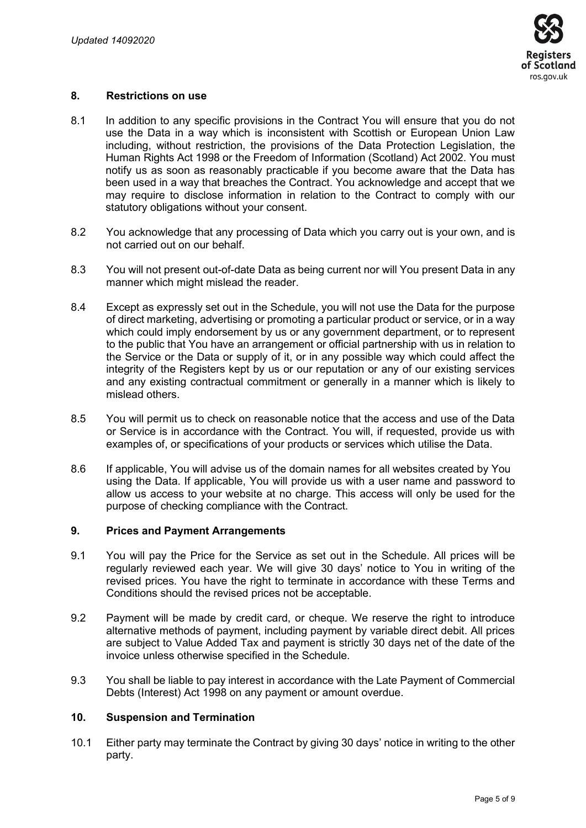

#### **8. Restrictions on use**

- 8.1 In addition to any specific provisions in the Contract You will ensure that you do not use the Data in a way which is inconsistent with Scottish or European Union Law including, without restriction, the provisions of the Data Protection Legislation, the Human Rights Act 1998 or the Freedom of Information (Scotland) Act 2002. You must notify us as soon as reasonably practicable if you become aware that the Data has been used in a way that breaches the Contract. You acknowledge and accept that we may require to disclose information in relation to the Contract to comply with our statutory obligations without your consent.
- 8.2 You acknowledge that any processing of Data which you carry out is your own, and is not carried out on our behalf.
- 8.3 You will not present out-of-date Data as being current nor will You present Data in any manner which might mislead the reader.
- 8.4 Except as expressly set out in the Schedule, you will not use the Data for the purpose of direct marketing, advertising or promoting a particular product or service, or in a way which could imply endorsement by us or any government department, or to represent to the public that You have an arrangement or official partnership with us in relation to the Service or the Data or supply of it, or in any possible way which could affect the integrity of the Registers kept by us or our reputation or any of our existing services and any existing contractual commitment or generally in a manner which is likely to mislead others.
- 8.5 You will permit us to check on reasonable notice that the access and use of the Data or Service is in accordance with the Contract. You will, if requested, provide us with examples of, or specifications of your products or services which utilise the Data.
- 8.6 If applicable, You will advise us of the domain names for all websites created by You using the Data. If applicable, You will provide us with a user name and password to allow us access to your website at no charge. This access will only be used for the purpose of checking compliance with the Contract.

#### **9. Prices and Payment Arrangements**

- 9.1 You will pay the Price for the Service as set out in the Schedule. All prices will be regularly reviewed each year. We will give 30 days' notice to You in writing of the revised prices. You have the right to terminate in accordance with these Terms and Conditions should the revised prices not be acceptable.
- 9.2 Payment will be made by credit card, or cheque. We reserve the right to introduce alternative methods of payment, including payment by variable direct debit. All prices are subject to Value Added Tax and payment is strictly 30 days net of the date of the invoice unless otherwise specified in the Schedule.
- 9.3 You shall be liable to pay interest in accordance with the Late Payment of Commercial Debts (Interest) Act 1998 on any payment or amount overdue.

## **10. Suspension and Termination**

10.1 Either party may terminate the Contract by giving 30 days' notice in writing to the other party.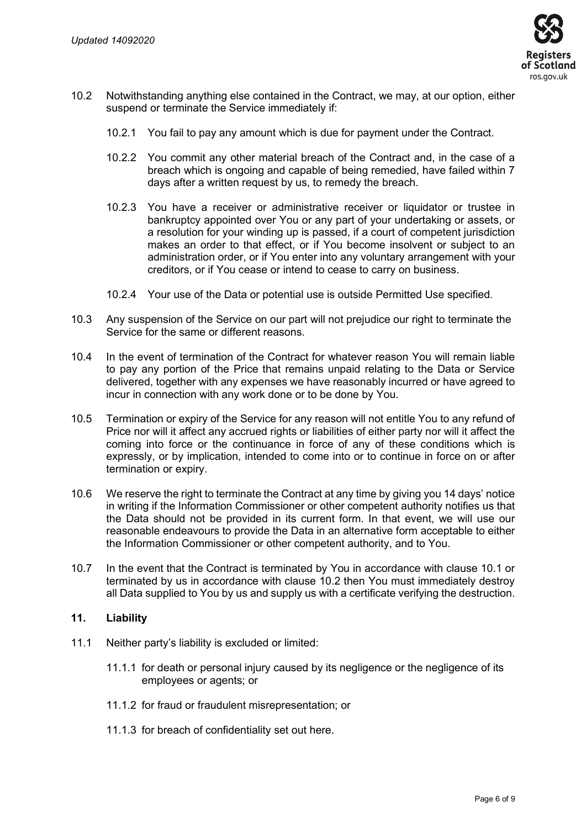

- 10.2 Notwithstanding anything else contained in the Contract, we may, at our option, either suspend or terminate the Service immediately if:
	- 10.2.1 You fail to pay any amount which is due for payment under the Contract.
	- 10.2.2 You commit any other material breach of the Contract and, in the case of a breach which is ongoing and capable of being remedied, have failed within 7 days after a written request by us, to remedy the breach.
	- 10.2.3 You have a receiver or administrative receiver or liquidator or trustee in bankruptcy appointed over You or any part of your undertaking or assets, or a resolution for your winding up is passed, if a court of competent jurisdiction makes an order to that effect, or if You become insolvent or subject to an administration order, or if You enter into any voluntary arrangement with your creditors, or if You cease or intend to cease to carry on business.
	- 10.2.4 Your use of the Data or potential use is outside Permitted Use specified.
- 10.3 Any suspension of the Service on our part will not prejudice our right to terminate the Service for the same or different reasons.
- 10.4 In the event of termination of the Contract for whatever reason You will remain liable to pay any portion of the Price that remains unpaid relating to the Data or Service delivered, together with any expenses we have reasonably incurred or have agreed to incur in connection with any work done or to be done by You.
- 10.5 Termination or expiry of the Service for any reason will not entitle You to any refund of Price nor will it affect any accrued rights or liabilities of either party nor will it affect the coming into force or the continuance in force of any of these conditions which is expressly, or by implication, intended to come into or to continue in force on or after termination or expiry.
- 10.6 We reserve the right to terminate the Contract at any time by giving you 14 days' notice in writing if the Information Commissioner or other competent authority notifies us that the Data should not be provided in its current form. In that event, we will use our reasonable endeavours to provide the Data in an alternative form acceptable to either the Information Commissioner or other competent authority, and to You.
- 10.7 In the event that the Contract is terminated by You in accordance with clause 10.1 or terminated by us in accordance with clause 10.2 then You must immediately destroy all Data supplied to You by us and supply us with a certificate verifying the destruction.

## **11. Liability**

- 11.1 Neither party's liability is excluded or limited:
	- 11.1.1 for death or personal injury caused by its negligence or the negligence of its employees or agents; or
	- 11.1.2 for fraud or fraudulent misrepresentation; or
	- 11.1.3 for breach of confidentiality set out here.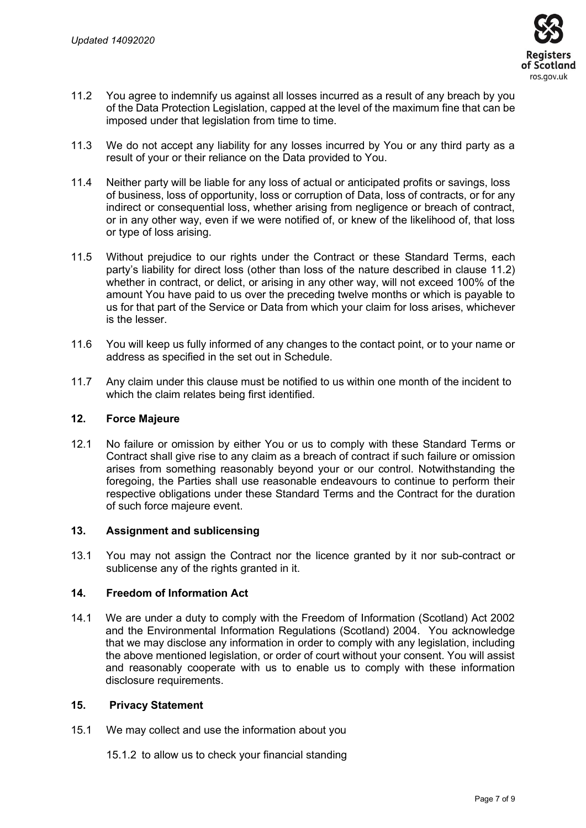

- 11.2 You agree to indemnify us against all losses incurred as a result of any breach by you of the Data Protection Legislation, capped at the level of the maximum fine that can be imposed under that legislation from time to time.
- 11.3 We do not accept any liability for any losses incurred by You or any third party as a result of your or their reliance on the Data provided to You.
- 11.4 Neither party will be liable for any loss of actual or anticipated profits or savings, loss of business, loss of opportunity, loss or corruption of Data, loss of contracts, or for any indirect or consequential loss, whether arising from negligence or breach of contract, or in any other way, even if we were notified of, or knew of the likelihood of, that loss or type of loss arising.
- 11.5 Without prejudice to our rights under the Contract or these Standard Terms, each party's liability for direct loss (other than loss of the nature described in clause 11.2) whether in contract, or delict, or arising in any other way, will not exceed 100% of the amount You have paid to us over the preceding twelve months or which is payable to us for that part of the Service or Data from which your claim for loss arises, whichever is the lesser.
- 11.6 You will keep us fully informed of any changes to the contact point, or to your name or address as specified in the set out in Schedule.
- 11.7 Any claim under this clause must be notified to us within one month of the incident to which the claim relates being first identified.

## **12. Force Majeure**

12.1 No failure or omission by either You or us to comply with these Standard Terms or Contract shall give rise to any claim as a breach of contract if such failure or omission arises from something reasonably beyond your or our control. Notwithstanding the foregoing, the Parties shall use reasonable endeavours to continue to perform their respective obligations under these Standard Terms and the Contract for the duration of such force majeure event.

## **13. Assignment and sublicensing**

13.1 You may not assign the Contract nor the licence granted by it nor sub-contract or sublicense any of the rights granted in it.

## **14. Freedom of Information Act**

14.1 We are under a duty to comply with the Freedom of Information (Scotland) Act 2002 and the Environmental Information Regulations (Scotland) 2004. You acknowledge that we may disclose any information in order to comply with any legislation, including the above mentioned legislation, or order of court without your consent. You will assist and reasonably cooperate with us to enable us to comply with these information disclosure requirements.

#### **15. Privacy Statement**

- 15.1 We may collect and use the information about you
	- 15.1.2 to allow us to check your financial standing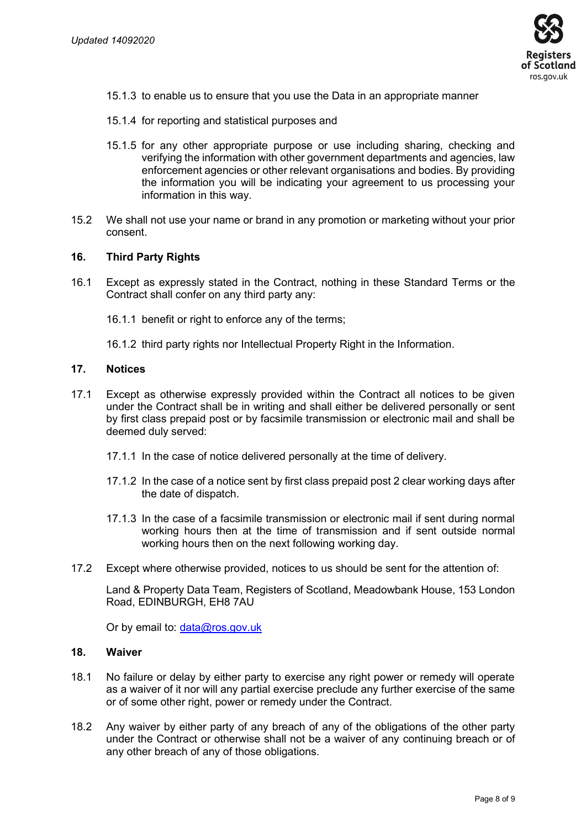

- 15.1.3 to enable us to ensure that you use the Data in an appropriate manner
- 15.1.4 for reporting and statistical purposes and
- 15.1.5 for any other appropriate purpose or use including sharing, checking and verifying the information with other government departments and agencies, law enforcement agencies or other relevant organisations and bodies. By providing the information you will be indicating your agreement to us processing your information in this way.
- 15.2 We shall not use your name or brand in any promotion or marketing without your prior consent.

#### **16. Third Party Rights**

- 16.1 Except as expressly stated in the Contract, nothing in these Standard Terms or the Contract shall confer on any third party any:
	- 16.1.1 benefit or right to enforce any of the terms;
	- 16.1.2 third party rights nor Intellectual Property Right in the Information.

#### **17. Notices**

- 17.1 Except as otherwise expressly provided within the Contract all notices to be given under the Contract shall be in writing and shall either be delivered personally or sent by first class prepaid post or by facsimile transmission or electronic mail and shall be deemed duly served:
	- 17.1.1 In the case of notice delivered personally at the time of delivery.
	- 17.1.2 In the case of a notice sent by first class prepaid post 2 clear working days after the date of dispatch.
	- 17.1.3 In the case of a facsimile transmission or electronic mail if sent during normal working hours then at the time of transmission and if sent outside normal working hours then on the next following working day.
- 17.2 Except where otherwise provided, notices to us should be sent for the attention of:

Land & Property Data Team, Registers of Scotland, Meadowbank House, 153 London Road, EDINBURGH, EH8 7AU

Or by email to: [data@ros.gov.uk](mailto:data@ros.gov.uk)

#### **18. Waiver**

- 18.1 No failure or delay by either party to exercise any right power or remedy will operate as a waiver of it nor will any partial exercise preclude any further exercise of the same or of some other right, power or remedy under the Contract.
- 18.2 Any waiver by either party of any breach of any of the obligations of the other party under the Contract or otherwise shall not be a waiver of any continuing breach or of any other breach of any of those obligations.